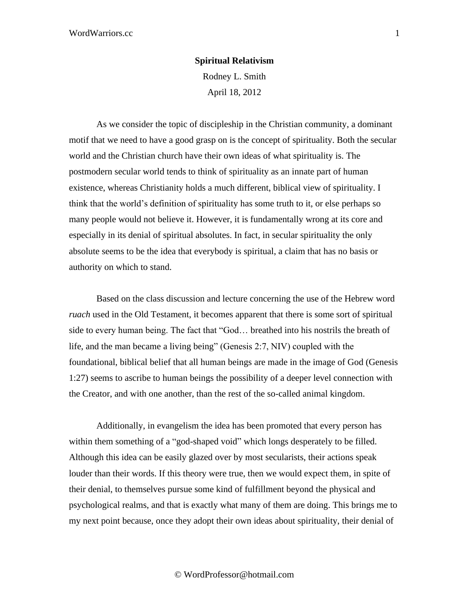## **Spiritual Relativism**

Rodney L. Smith April 18, 2012

As we consider the topic of discipleship in the Christian community, a dominant motif that we need to have a good grasp on is the concept of spirituality. Both the secular world and the Christian church have their own ideas of what spirituality is. The postmodern secular world tends to think of spirituality as an innate part of human existence, whereas Christianity holds a much different, biblical view of spirituality. I think that the world's definition of spirituality has some truth to it, or else perhaps so many people would not believe it. However, it is fundamentally wrong at its core and especially in its denial of spiritual absolutes. In fact, in secular spirituality the only absolute seems to be the idea that everybody is spiritual, a claim that has no basis or authority on which to stand.

Based on the class discussion and lecture concerning the use of the Hebrew word *ruach* used in the Old Testament, it becomes apparent that there is some sort of spiritual side to every human being. The fact that "God… breathed into his nostrils the breath of life, and the man became a living being" (Genesis 2:7, NIV) coupled with the foundational, biblical belief that all human beings are made in the image of God (Genesis 1:27) seems to ascribe to human beings the possibility of a deeper level connection with the Creator, and with one another, than the rest of the so-called animal kingdom.

Additionally, in evangelism the idea has been promoted that every person has within them something of a "god-shaped void" which longs desperately to be filled. Although this idea can be easily glazed over by most secularists, their actions speak louder than their words. If this theory were true, then we would expect them, in spite of their denial, to themselves pursue some kind of fulfillment beyond the physical and psychological realms, and that is exactly what many of them are doing. This brings me to my next point because, once they adopt their own ideas about spirituality, their denial of

© WordProfessor@hotmail.com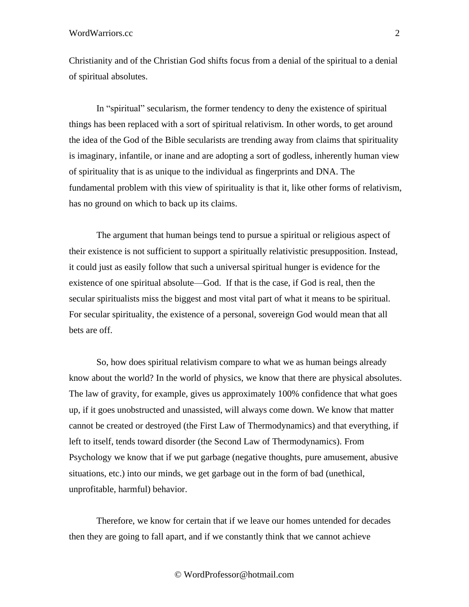## WordWarriors.cc 2

Christianity and of the Christian God shifts focus from a denial of the spiritual to a denial of spiritual absolutes.

In "spiritual" secularism, the former tendency to deny the existence of spiritual things has been replaced with a sort of spiritual relativism. In other words, to get around the idea of the God of the Bible secularists are trending away from claims that spirituality is imaginary, infantile, or inane and are adopting a sort of godless, inherently human view of spirituality that is as unique to the individual as fingerprints and DNA. The fundamental problem with this view of spirituality is that it, like other forms of relativism, has no ground on which to back up its claims.

The argument that human beings tend to pursue a spiritual or religious aspect of their existence is not sufficient to support a spiritually relativistic presupposition. Instead, it could just as easily follow that such a universal spiritual hunger is evidence for the existence of one spiritual absolute—God. If that is the case, if God is real, then the secular spiritualists miss the biggest and most vital part of what it means to be spiritual. For secular spirituality, the existence of a personal, sovereign God would mean that all bets are off.

So, how does spiritual relativism compare to what we as human beings already know about the world? In the world of physics, we know that there are physical absolutes. The law of gravity, for example, gives us approximately 100% confidence that what goes up, if it goes unobstructed and unassisted, will always come down. We know that matter cannot be created or destroyed (the First Law of Thermodynamics) and that everything, if left to itself, tends toward disorder (the Second Law of Thermodynamics). From Psychology we know that if we put garbage (negative thoughts, pure amusement, abusive situations, etc.) into our minds, we get garbage out in the form of bad (unethical, unprofitable, harmful) behavior.

Therefore, we know for certain that if we leave our homes untended for decades then they are going to fall apart, and if we constantly think that we cannot achieve

© WordProfessor@hotmail.com